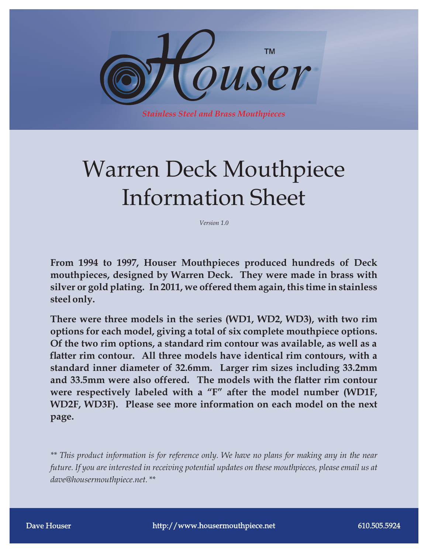

*Stainless Steel and Brass Mouthpieces*

# Warren Deck Mouthpiece Information Sheet

*Version 1.0*

**From 1994 to 1997, Houser Mouthpieces produced hundreds of Deck mouthpieces, designed by Warren Deck. They were made in brass with silver or gold plating. In 2011, we offered them again, this time in stainless steel only.**

**There were three models in the series (WD1, WD2, WD3), with two rim options for each model, giving a total of six complete mouthpiece options. Of the two rim options, a standard rim contour was available, as well as a atter rim contour. All three models have identical rim contours, with a standard inner diameter of 32.6mm. Larger rim sizes including 33.2mm**  and 33.5mm were also offered. The models with the flatter rim contour **were respectively labeled with a "F" after the model number (WD1F, WD2F, WD3F). Please see more information on each model on the next page.**

*\*\* This product information is for reference only. We have no plans for making any in the near future. If you are interested in receiving potential updates on these mouthpieces, please email us at dave@housermouthpiece.net. \*\**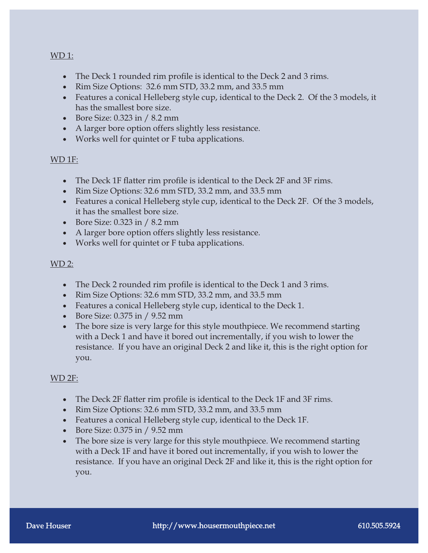#### WD 1:

- The Deck 1 rounded rim profile is identical to the Deck 2 and 3 rims.
- · Rim Size Options: 32.6 mm STD, 33.2 mm, and 33.5 mm
- Features a conical Helleberg style cup, identical to the Deck 2. Of the 3 models, it has the smallest bore size.
- · Bore Size: 0.323 in / 8.2 mm
- A larger bore option offers slightly less resistance.
- · Works well for quintet or F tuba applications.

## WD 1F:

- The Deck 1F flatter rim profile is identical to the Deck 2F and 3F rims.
- · Rim Size Options: 32.6 mm STD, 33.2 mm, and 33.5 mm
- · Features a conical Helleberg style cup, identical to the Deck 2F. Of the 3 models, it has the smallest bore size.
- · Bore Size: 0.323 in / 8.2 mm
- A larger bore option offers slightly less resistance.
- · Works well for quintet or F tuba applications.

## $WD 2:$

- The Deck 2 rounded rim profile is identical to the Deck 1 and 3 rims.
- · Rim Size Options: 32.6 mm STD, 33.2 mm, and 33.5 mm
- · Features a conical Helleberg style cup, identical to the Deck 1.
- · Bore Size: 0.375 in / 9.52 mm
- The bore size is very large for this style mouthpiece. We recommend starting with a Deck 1 and have it bored out incrementally, if you wish to lower the resistance. If you have an original Deck 2 and like it, this is the right option for you.

## WD 2F:

- The Deck 2F flatter rim profile is identical to the Deck 1F and 3F rims.
- · Rim Size Options: 32.6 mm STD, 33.2 mm, and 33.5 mm
- · Features a conical Helleberg style cup, identical to the Deck 1F.
- · Bore Size: 0.375 in / 9.52 mm
- The bore size is very large for this style mouthpiece. We recommend starting with a Deck 1F and have it bored out incrementally, if you wish to lower the resistance. If you have an original Deck 2F and like it, this is the right option for you.